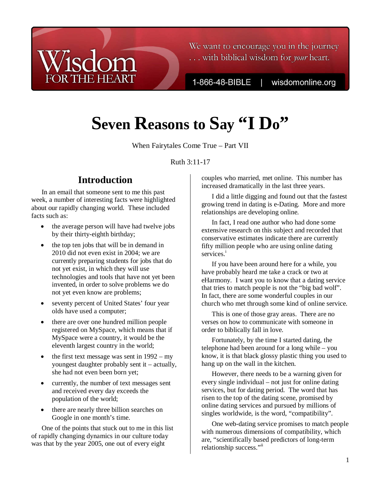

We want to encourage you in the journey ... with biblical wisdom for your heart.

1-866-48-BIBLE

wisdomonline.org

# **Seven Reasons to Say "I Do"**

When Fairytales Come True – Part VII

Ruth 3:11-17

## **Introduction**

In an email that someone sent to me this past week, a number of interesting facts were highlighted about our rapidly changing world. These included facts such as:

- the average person will have had twelve jobs by their thirty-eighth birthday;
- the top ten jobs that will be in demand in 2010 did not even exist in 2004; we are currently preparing students for jobs that do not yet exist, in which they will use technologies and tools that have not yet been invented, in order to solve problems we do not yet even know are problems;
- seventy percent of United States' four year olds have used a computer;
- there are over one hundred million people registered on MySpace, which means that if MySpace were a country, it would be the eleventh largest country in the world;
- the first text message was sent in  $1992 my$ youngest daughter probably sent it – actually, she had not even been born yet;
- currently, the number of text messages sent and received every day exceeds the population of the world;
- there are nearly three billion searches on Google in one month's time.

One of the points that stuck out to me in this list of rapidly changing dynamics in our culture today was that by the year 2005, one out of every eight

couples who married, met online. This number has increased dramatically in the last three years.

I did a little digging and found out that the fastest growing trend in dating is e-Dating. More and more relationships are developing online.

In fact, I read one author who had done some extensive research on this subject and recorded that conservative estimates indicate there are currently fifty million people who are using online dating services.<sup>i</sup>

If you have been around here for a while, you have probably heard me take a crack or two at eHarmony. I want you to know that a dating service that tries to match people is not the "big bad wolf". In fact, there are some wonderful couples in our church who met through some kind of online service.

This is one of those gray areas. There are no verses on how to communicate with someone in order to biblically fall in love.

Fortunately, by the time I started dating, the telephone had been around for a long while – you know, it is that black glossy plastic thing you used to hang up on the wall in the kitchen.

However, there needs to be a warning given for every single individual – not just for online dating services, but for dating period. The word that has risen to the top of the dating scene, promised by online dating services and pursued by millions of singles worldwide, is the word, "compatibility".

One web-dating service promises to match people with numerous dimensions of compatibility, which are, "scientifically based predictors of long-term relationship success."ii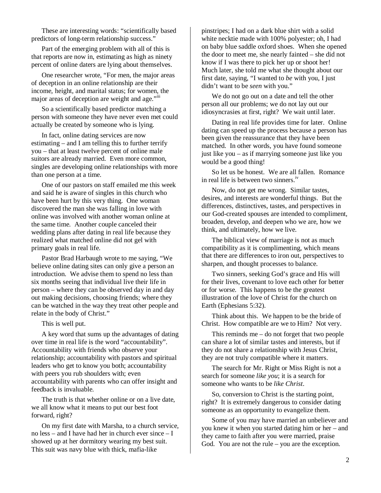These are interesting words: "scientifically based predictors of long-term relationship success."

Part of the emerging problem with all of this is that reports are now in, estimating as high as ninety percent of online daters are lying about themselves.

One researcher wrote, "For men, the major areas of deception in an online relationship are their income, height, and marital status; for women, the major areas of deception are weight and age."<sup>III</sup>

So a scientifically based predictor matching a person with someone they have never even met could actually be created by someone who is lying.

In fact, online dating services are now estimating – and I am telling this to further terrify you – that at least twelve percent of online male suitors are already married. Even more common, singles are developing online relationships with more than one person at a time.

One of our pastors on staff emailed me this week and said he is aware of singles in this church who have been hurt by this very thing. One woman discovered the man she was falling in love with online was involved with another woman online at the same time. Another couple canceled their wedding plans after dating in real life because they realized what matched online did not gel with primary goals in real life.

Pastor Brad Harbaugh wrote to me saying, "We believe online dating sites can only give a person an introduction. We advise them to spend no less than six months seeing that individual live their life in person – where they can be observed day in and day out making decisions, choosing friends; where they can be watched in the way they treat other people and relate in the body of Christ."

This is well put.

A key word that sums up the advantages of dating over time in real life is the word "accountability". Accountability with friends who observe your relationship; accountability with pastors and spiritual leaders who get to know you both; accountability with peers you rub shoulders with; even accountability with parents who can offer insight and feedback is invaluable.

The truth is that whether online or on a live date, we all know what it means to put our best foot forward, right?

On my first date with Marsha, to a church service, no less – and I have had her in church ever since – I showed up at her dormitory wearing my best suit. This suit was navy blue with thick, mafia-like

pinstripes; I had on a dark blue shirt with a solid white necktie made with 100% polyester; oh, I had on baby blue saddle oxford shoes. When she opened the door to meet me, she nearly fainted – she did not know if I was there to pick her up or shoot her! Much later, she told me what she thought about our first date, saying, "I wanted to *be* with you, I just didn't want to be *seen* with you."

We do not go out on a date and tell the other person all our problems; we do not lay out our idiosyncrasies at first, right? We wait until later.

Dating in real life provides time for later. Online dating can speed up the process because a person has been given the reassurance that they have been matched. In other words, you have found someone just like you – as if marrying someone just like you would be a good thing!

So let us be honest. We are all fallen. Romance in real life is between two sinners.<sup>iv</sup>

Now, do not get me wrong. Similar tastes, desires, and interests are wonderful things. But the differences, distinctives, tastes, and perspectives in our God-created spouses are intended to compliment, broaden, develop, and deepen who we are, how we think, and ultimately, how we live.

The biblical view of marriage is not as much compatibility as it is complimenting, which means that there are differences to iron out, perspectives to sharpen, and thought processes to balance.

Two sinners, seeking God's grace and His will for their lives, covenant to love each other for better or for worse. This happens to be the greatest illustration of the love of Christ for the church on Earth (Ephesians 5:32).

Think about this. We happen to be the bride of Christ. How compatible are we to Him? Not very.

This reminds me – do not forget that two people can share a lot of similar tastes and interests, but if they do not share a relationship with Jesus Christ, they are not truly compatible where it matters.

The search for Mr. Right or Miss Right is not a search for someone *like you*; it is a search for someone who wants to be *like Christ*.

So, conversion to Christ is the starting point, right? It is extremely dangerous to consider dating someone as an opportunity to evangelize them.

Some of you may have married an unbeliever and you knew it when you started dating him or her – and they came to faith after you were married, praise God. You are not the rule – you are the exception.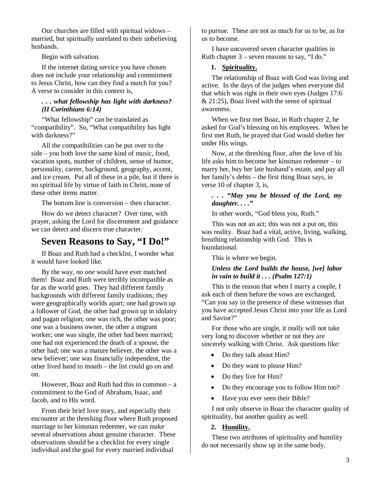Our churches are filled with spiritual widows – married, but spiritually unrelated to their unbelieving husbands.

Begin with salvation.

If the internet dating service you have chosen does not include your relationship and commitment to Jesus Christ, how can they find a match for you? A verse to consider in this context is,

#### *. . . what fellowship has light with darkness? (II Corinthians 6:14)*

"What fellowship" can be translated as "compatibility". So, "What compatibility has light with darkness?"

All the compatibilities can be put over to the side – you both love the same kind of music, food, vacation spots, number of children, sense of humor, personality, career, background, geography, accent, and ice cream. Put all of these in a pile, but if there is no spiritual life by virtue of faith in Christ, none of these other items matter.

The bottom line is conversion – then character.

How do we detect character? Over time, with prayer, asking the Lord for discernment and guidance we can detect and discern true character.

## **Seven Reasons to Say, "I Do!"**

If Boaz and Ruth had a checklist, I wonder what it would have looked like.

By the way, *no one* would have ever matched them! Boaz and Ruth were terribly incompatible as far as the world goes. They had different family backgrounds with different family traditions; they were geographically worlds apart; one had grown up a follower of God, the other had grown up in idolatry and pagan religion; one was rich, the other was poor; one was a business owner, the other a migrant worker; one was single, the other had been married; one had not experienced the death of a spouse, the other had; one was a mature believer, the other was a new believer; one was financially independent, the other lived hand to mouth – the list could go on and on.

However, Boaz and Ruth had this in common – a commitment to the God of Abraham, Isaac, and Jacob, and to His word.

From their brief love story, and especially their encounter at the threshing floor where Ruth proposed marriage to her kinsman redeemer, we can make several observations about genuine character. These observations should be a checklist for every single individual and the goal for every married individual

to pursue. These are not as much for us to be, as for us to become.

I have uncovered seven character qualities in Ruth chapter 3 – seven reasons to say, "I do."

#### **1. Spirituality.**

The relationship of Boaz with God was living and active. In the days of the judges when everyone did that which was right in their own eyes (Judges 17:6  $& 21:25$ ), Boaz lived with the sense of spiritual awareness.

When we first met Boaz, in Ruth chapter 2, he asked for God's blessing on his employees. When he first met Ruth, he prayed that God would shelter her under His wings.

Now, at the threshing floor, after the love of his life asks him to become her kinsman redeemer – to marry her, buy her late husband's estate, and pay all her family's debts – the first thing Boaz says, in verse 10 of chapter 3, is,

#### *. . . "May you be blessed of the Lord, my daughter. . . ."*

In other words, "God bless you, Ruth."

This was not an act; this was not a put on, this was reality. Boaz had a vital, active, living, walking, breathing relationship with God. This is foundational.

This is where we begin.

#### *Unless the Lord builds the house, [we] labor in vain to build it . . . (Psalm 127:1)*

This is the reason that when I marry a couple, I ask each of them before the vows are exchanged, "Can you say in the presence of these witnesses that you have accepted Jesus Christ into your life as Lord and Savior?"

For those who are single, it really will not take very long to discover whether or not they are sincerely walking with Christ. Ask questions like:

- Do they talk about Him?
- Do they want to please Him?
- Do they live for Him?
- Do they encourage you to follow Him too?
- Have you ever seen their Bible?

I not only observe in Boaz the character quality of spirituality, but another quality as well.

#### **2. Humility.**

These two attributes of spirituality and humility do not necessarily show up in the same body.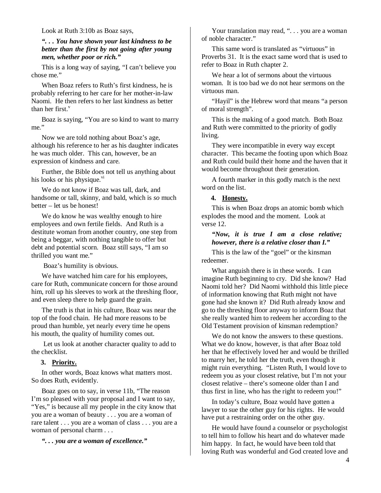Look at Ruth 3:10b as Boaz says,

*". . . You have shown your last kindness to be better than the first by not going after young men, whether poor or rich."* 

This is a long way of saying, "I can't believe you chose me."

When Boaz refers to Ruth's first kindness, he is probably referring to her care for her mother-in-law Naomi. He then refers to her last kindness as better than her first  $<sup>v</sup>$ </sup>

Boaz is saying, "You are so kind to want to marry me."

Now we are told nothing about Boaz's age, although his reference to her as his daughter indicates he was much older. This can, however, be an expression of kindness and care.

Further, the Bible does not tell us anything about his looks or his physique. $\overline{v}$ <sup>i</sup>

We do not know if Boaz was tall, dark, and handsome or tall, skinny, and bald, which is *so* much better – let us be honest!

We do know he was wealthy enough to hire employees and own fertile fields. And Ruth is a destitute woman from another country, one step from being a beggar, with nothing tangible to offer but debt and potential scorn. Boaz still says, "I am so thrilled you want me."

Boaz's humility is obvious.

We have watched him care for his employees, care for Ruth, communicate concern for those around him, roll up his sleeves to work at the threshing floor, and even sleep there to help guard the grain.

The truth is that in his culture, Boaz was near the top of the food chain. He had more reasons to be proud than humble, yet nearly every time he opens his mouth, the quality of humility comes out.

 Let us look at another character quality to add to the checklist.

#### **3. Priority.**

In other words, Boaz knows what matters most. So does Ruth, evidently.

Boaz goes on to say, in verse 11b, "The reason I'm so pleased with your proposal and I want to say, "Yes," is because all my people in the city know that you are a woman of beauty . . . you are a woman of rare talent . . . you are a woman of class . . . you are a woman of personal charm . . .

*". . . you are a woman of excellence."* 

Your translation may read, "... you are a woman of noble character."

This same word is translated as "virtuous" in Proverbs 31. It is the exact same word that is used to refer to Boaz in Ruth chapter 2.

We hear a lot of sermons about the virtuous woman. It is too bad we do not hear sermons on the virtuous man.

"Hayil" is the Hebrew word that means "a person of moral strength".

This is the making of a good match. Both Boaz and Ruth were committed to the priority of godly living.

They were incompatible in every way except character. This became the footing upon which Boaz and Ruth could build their home and the haven that it would become throughout their generation.

A fourth marker in this godly match is the next word on the list.

#### **4. Honesty.**

This is when Boaz drops an atomic bomb which explodes the mood and the moment. Look at verse 12.

#### *"Now, it is true I am a close relative; however, there is a relative closer than I."*

This is the law of the "goel" or the kinsman redeemer.

What anguish there is in these words. I can imagine Ruth beginning to cry. Did she know? Had Naomi told her? Did Naomi withhold this little piece of information knowing that Ruth might not have gone had she known it? Did Ruth already know and go to the threshing floor anyway to inform Boaz that she really wanted him to redeem her according to the Old Testament provision of kinsman redemption?

We do not know the answers to these questions. What we do know, however, is that after Boaz told her that he effectively loved her and would be thrilled to marry her, he told her the truth, even though it might ruin everything. "Listen Ruth, I would love to redeem you as your closest relative, but I'm not your closest relative – there's someone older than I and thus first in line, who has the right to redeem you!"

In today's culture, Boaz would have gotten a lawyer to sue the other guy for his rights. He would have put a restraining order on the other guy.

He would have found a counselor or psychologist to tell him to follow his heart and do whatever made him happy. In fact, he would have been told that loving Ruth was wonderful and God created love and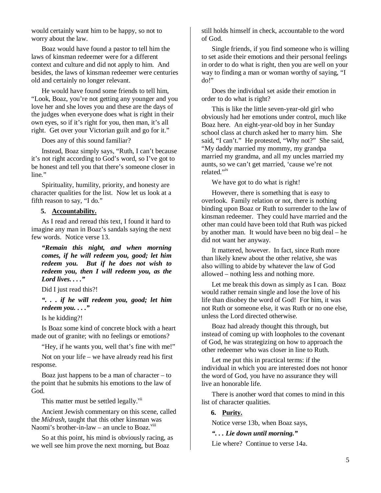would certainly want him to be happy, so not to worry about the law.

Boaz would have found a pastor to tell him the laws of kinsman redeemer were for a different context and culture and did not apply to him. And besides, the laws of kinsman redeemer were centuries old and certainly no longer relevant.

He would have found some friends to tell him, "Look, Boaz, you're not getting any younger and you love her and she loves you and these are the days of the judges when everyone does what is right in their own eyes, so if it's right for you, then man, it's all right. Get over your Victorian guilt and go for it."

Does any of this sound familiar?

Instead, Boaz simply says, "Ruth, I can't because it's not right according to God's word, so I've got to be honest and tell you that there's someone closer in line."

Spirituality, humility, priority, and honesty are character qualities for the list. Now let us look at a fifth reason to say, "I do."

#### **5. Accountability.**

As I read and reread this text, I found it hard to imagine any man in Boaz's sandals saying the next few words. Notice verse 13.

*"Remain this night, and when morning comes, if he will redeem you, good; let him redeem you. But if he does not wish to redeem you, then I will redeem you, as the Lord lives. . . ."* 

Did I just read this?!

*". . . if he will redeem you, good; let him redeem you. . . ."* 

Is he kidding?!

Is Boaz some kind of concrete block with a heart made out of granite; with no feelings or emotions?

"Hey, if he wants you, well that's fine with me!"

Not on your life – we have already read his first response.

Boaz just happens to be a man of character – to the point that he submits his emotions to the law of God.

This matter must be settled legally.<sup>vii</sup>

Ancient Jewish commentary on this scene, called the *Midrash*, taught that this other kinsman was Naomi's brother-in-law – an uncle to Boaz. $\frac{v_{\text{III}}}{v_{\text{III}}}$ 

So at this point, his mind is obviously racing, as we well see him prove the next morning, but Boaz

still holds himself in check, accountable to the word of God.

Single friends, if you find someone who is willing to set aside their emotions and their personal feelings in order to do what is right, then you are well on your way to finding a man or woman worthy of saying, "I do!"

Does the individual set aside their emotion in order to do what is right?

This is like the little seven-year-old girl who obviously had her emotions under control, much like Boaz here. An eight-year-old boy in her Sunday school class at church asked her to marry him. She said, "I can't." He protested, "Why not?" She said, "My daddy married my mommy, my grandpa married my grandma, and all my uncles married my aunts, so we can't get married, 'cause we're not related."<sup>ix</sup>

We have got to do what is right!

However, there is something that is easy to overlook. Family relation or not, there is nothing binding upon Boaz or Ruth to surrender to the law of kinsman redeemer. They could have married and the other man could have been told that Ruth was picked by another man. It would have been no big deal – he did not want her anyway.

It mattered, however. In fact, since Ruth more than likely knew about the other relative, she was also willing to abide by whatever the law of God allowed – nothing less and nothing more.

Let me break this down as simply as I can. Boaz would rather remain single and lose the love of his life than disobey the word of God! For him, it was not Ruth or someone else, it was Ruth or no one else, unless the Lord directed otherwise.

Boaz had already thought this through, but instead of coming up with loopholes to the covenant of God, he was strategizing on how to approach the other redeemer who was closer in line to Ruth.

Let me put this in practical terms: if the individual in which you are interested does not honor the word of God, you have no assurance they will live an honorable life.

There is another word that comes to mind in this list of character qualities.

#### **6. Purity.**

Notice verse 13b, when Boaz says,

*". . . Lie down until morning."* 

Lie where? Continue to verse 14a.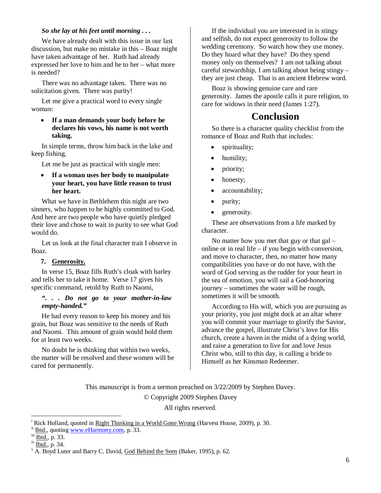#### *So she lay at his feet until morning . . .*

We have already dealt with this issue in our last discussion, but make no mistake in this – Boaz might have taken advantage of her. Ruth had already expressed her love to him and he to her – what more is needed?

There was no advantage taken. There was no solicitation given. There was purity!

Let me give a practical word to every single woman:

• **If a man demands your body before he declares his vows, his name is not worth taking.** 

In simple terms, throw him back in the lake and keep fishing.

Let me be just as practical with single men:

• **If a woman uses her body to manipulate your heart, you have little reason to trust her heart.** 

What we have in Bethlehem this night are two sinners, who happen to be highly committed to God. And here are two people who have quietly pledged their love and chose to wait in purity to see what God would do.

Let us look at the final character trait I observe in Boaz.

#### **7. Generosity.**

In verse 15, Boaz fills Ruth's cloak with barley and tells her to take it home. Verse 17 gives his specific command, retold by Ruth to Naomi,

#### *". . . Do not go to your mother-in-law empty-handed."*

He had every reason to keep his money and his grain, but Boaz was sensitive to the needs of Ruth and Naomi. This amount of grain would hold them for at least two weeks.

No doubt he is thinking that within two weeks, the matter will be resolved and these women will be cared for permanently.

If the individual you are interested in is stingy and selfish, do not expect generosity to follow the wedding ceremony. So watch how they use money. Do they hoard what they have? Do they spend money only on themselves? I am not talking about careful stewardship, I am talking about being stingy – they are just cheap. That is an ancient Hebrew word.

Boaz is showing genuine care and rare generosity. James the apostle calls it pure religion, to care for widows in their need (James 1:27).

### **Conclusion**

So there is a character quality checklist from the romance of Boaz and Ruth that includes:

- spirituality;
- humility;
- priority;
- honesty;
- accountability;
- purity;
- generosity.

These are observations from a life marked by character.

No matter how you met that guy or that gal – online or in real life – if you begin with conversion, and move to character, then, no matter how many compatibilities you have or do not have, with the word of God serving as the rudder for your heart in the sea of emotion, you will sail a God-honoring journey – sometimes the water will be rough, sometimes it will be smooth.

According to His will, which you are pursuing as your priority, you just might dock at an altar where you will commit your marriage to glorify the Savior, advance the gospel, illustrate Christ's love for His church, create a haven in the midst of a dying world, and raise a generation to live for and love Jesus Christ who, still to this day, is calling a bride to Himself as her Kinsman Redeemer.

This manuscript is from a sermon preached on 3/22/2009 by Stephen Davey.

© Copyright 2009 Stephen Davey

All rights reserved.

 $\overline{a}$ 

<sup>&</sup>lt;sup>i</sup> Rick Holland, quoted in <u>Right Thinking in a World Gone Wrong</u> (Harvest House, 2009), p. 30.

ii Ibid., quoting www.eHarmony.com, p. 33.

iii Ibid., p. 33.

<sup>&</sup>lt;sup>iv</sup> Ibid., p. 34.

<sup>&</sup>lt;sup>v</sup> A. Boyd Luter and Barry C. David, God Behind the Seen (Baker, 1995), p. 62.